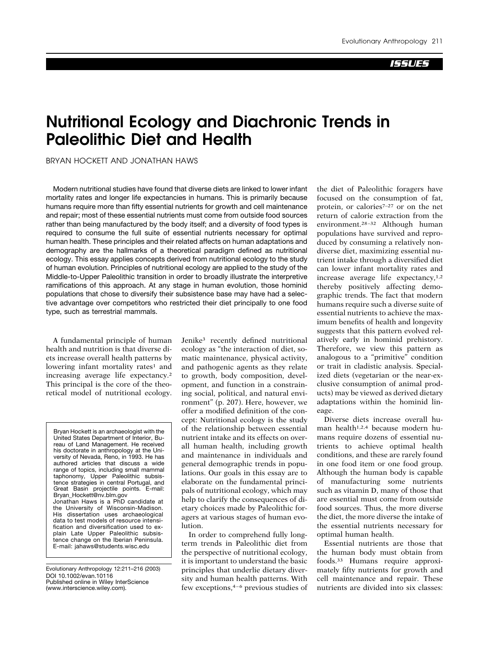# **Nutritional Ecology and Diachronic Trends in Paleolithic Diet and Health**

BRYAN HOCKETT AND JONATHAN HAWS

Modern nutritional studies have found that diverse diets are linked to lower infant mortality rates and longer life expectancies in humans. This is primarily because humans require more than fifty essential nutrients for growth and cell maintenance and repair; most of these essential nutrients must come from outside food sources rather than being manufactured by the body itself; and a diversity of food types is required to consume the full suite of essential nutrients necessary for optimal human health. These principles and their related affects on human adaptations and demography are the hallmarks of a theoretical paradigm defined as nutritional ecology. This essay applies concepts derived from nutritional ecology to the study of human evolution. Principles of nutritional ecology are applied to the study of the Middle-to-Upper Paleolithic transition in order to broadly illustrate the interpretive ramifications of this approach. At any stage in human evolution, those hominid populations that chose to diversify their subsistence base may have had a selective advantage over competitors who restricted their diet principally to one food type, such as terrestrial mammals.

A fundamental principle of human health and nutrition is that diverse diets increase overall health patterns by lowering infant mortality rates<sup>1</sup> and increasing average life expectancy.2 This principal is the core of the theoretical model of nutritional ecology.

Bryan Hockett is an archaeologist with the United States Department of Interior, Bureau of Land Management. He received his doctorate in anthropology at the University of Nevada, Reno, in 1993. He has authored articles that discuss a wide range of topics, including small mammal taphonomy, Upper Paleolithic subsistence strategies in central Portugal, and Great Basin projectile points. E-mail: Bryan\_Hockett@nv.blm.gov Jonathan Haws is a PhD candidate at the University of Wisconsin-Madison. His dissertation uses archaeological data to test models of resource intensification and diversification used to explain Late Upper Paleolithic subsistence change on the Iberian Peninsula. E-mail: jahaws@students.wisc.edu

Evolutionary Anthropology 12:211–216 (2003) DOI 10.1002/evan.10116 Published online in Wiley InterScience (www.interscience.wiley.com).

Jenike3 recently defined nutritional ecology as "the interaction of diet, somatic maintenance, physical activity, and pathogenic agents as they relate to growth, body composition, development, and function in a constraining social, political, and natural environment" (p. 207). Here, however, we offer a modified definition of the concept: Nutritional ecology is the study of the relationship between essential nutrient intake and its effects on overall human health, including growth and maintenance in individuals and general demographic trends in populations. Our goals in this essay are to elaborate on the fundamental principals of nutritional ecology, which may help to clarify the consequences of dietary choices made by Paleolithic foragers at various stages of human evolution.

In order to comprehend fully longterm trends in Paleolithic diet from the perspective of nutritional ecology, it is important to understand the basic principles that underlie dietary diversity and human health patterns. With few exceptions,4–6 previous studies of the diet of Paleolithic foragers have focused on the consumption of fat, protein, or calories7–27 or on the net return of calorie extraction from the environment.<sup>28-32</sup> Although human populations have survived and reproduced by consuming a relatively nondiverse diet, maximizing essential nutrient intake through a diversified diet can lower infant mortality rates and increase average life expectancy,1,2 thereby positively affecting demographic trends. The fact that modern humans require such a diverse suite of essential nutrients to achieve the maximum benefits of health and longevity suggests that this pattern evolved relatively early in hominid prehistory. Therefore, we view this pattern as analogous to a "primitive" condition or trait in cladistic analysis. Specialized diets (vegetarian or the near-exclusive consumption of animal products) may be viewed as derived dietary adaptations within the hominid lineage.

Diverse diets increase overall human health<sup>1,2,4</sup> because modern humans require dozens of essential nutrients to achieve optimal health conditions, and these are rarely found in one food item or one food group. Although the human body is capable of manufacturing some nutrients such as vitamin D, many of those that are essential must come from outside food sources. Thus, the more diverse the diet, the more diverse the intake of the essential nutrients necessary for optimal human health.

Essential nutrients are those that the human body must obtain from foods.33 Humans require approximately fifty nutrients for growth and cell maintenance and repair. These nutrients are divided into six classes: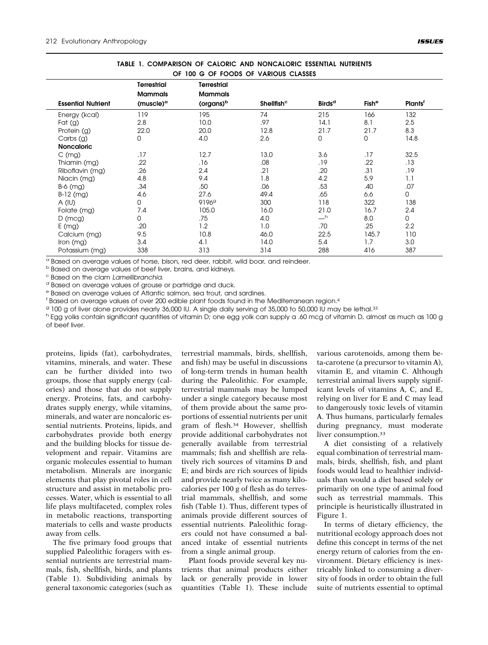|                           | <b>Terrestrial</b><br><b>Mammals</b> | <b>Terrestrial</b><br><b>Mammals</b> |                              |                          |                   |                           |
|---------------------------|--------------------------------------|--------------------------------------|------------------------------|--------------------------|-------------------|---------------------------|
| <b>Essential Nutrient</b> | (muscle) $^{\alpha}$                 | (organs) <sup>b</sup>                | <b>Shellfish<sup>c</sup></b> | <b>Birds<sup>d</sup></b> | Fish <sup>e</sup> | <b>Plants<sup>f</sup></b> |
| Energy (kcal)             | 119                                  | 195                                  | 74                           | 215                      | 166               | 132                       |
| Fat $(g)$                 | 2.8                                  | 10.0                                 | .97                          | 14.1                     | 8.1               | 2.5                       |
| Protein (g)               | 22.0                                 | 20.0                                 | 12.8                         | 21.7                     | 21.7              | 8.3                       |
| Carbs $(g)$               | 0                                    | 4.0                                  | 2.6                          | 0                        | 0                 | 14.8                      |
| <b>Noncaloric</b>         |                                      |                                      |                              |                          |                   |                           |
| $C$ (mg)                  | .17                                  | 12.7                                 | 13.0                         | 3.6                      | .17               | 32.5                      |
| Thiamin (mg)              | .22                                  | .16                                  | .08                          | .19                      | .22               | .13                       |
| Riboflavin (mg)           | .26                                  | 2.4                                  | .21                          | .20                      | .31               | .19                       |
| Niacin (mg)               | 4.8                                  | 9.4                                  | 1.8                          | 4.2                      | 5.9               | 1.1                       |
| $B-6$ (mg)                | .34                                  | .50                                  | .06                          | .53                      | .40               | .07                       |
| $B-12$ (mg)               | 4.6                                  | 27.6                                 | 49.4                         | .65                      | 6.6               | 0                         |
| $A$ (IU)                  | 0                                    | 9196 <sup>g</sup>                    | 300                          | 118                      | 322               | 138                       |
| Folate (mg)               | 7.4                                  | 105.0                                | 16.0                         | 21.0                     | 16.7              | 2.4                       |
| $D$ (mcg)                 | 0                                    | .75                                  | 4.0                          | $-^h$                    | 8.0               | $\mathbf 0$               |
| $E$ (mg)                  | .20                                  | 1.2                                  | 1.0                          | .70                      | .25               | 2.2                       |
| Calcium (mg)              | 9.5                                  | 10.8                                 | 46.0                         | 22.5                     | 145.7             | 110                       |
| Iron $(mg)$               | 3.4                                  | 4.1                                  | 14.0                         | 5.4                      | 1.7               | 3.0                       |
| Potassium (mg)            | 338                                  | 313                                  | 314                          | 288                      | 416               | 387                       |

## **TABLE 1. COMPARISON OF CALORIC AND NONCALORIC ESSENTIAL NUTRIENTS OF 100 G OF FOODS OF VARIOUS CLASSES**

<sup>a</sup> Based on average values of horse, bison, red deer, rabbit, wild boar, and reindeer.

**b Based on average values of beef liver, brains, and kidneys.** 

<sup>c</sup> Based on the clam Lamellibranchia.

<sup>d</sup> Based on average values of grouse or partridge and duck.

<sup>e</sup> Based on average values of Atlantic salmon, sea trout, and sardines.

<sup>f</sup> Based on average values of over 200 edible plant foods found in the Mediterranean region.4

<sup>g</sup> 100 g of liver alone provides nearly 36,000 IU. A single daily serving of 35,000 to 50,000 IU may be lethal.33

<sup>h</sup> Egg yolks contain significant quantities of vitamin D; one egg yolk can supply a .60 mcg of vitamin D, almost as much as 100 g of beef liver.

proteins, lipids (fat), carbohydrates, vitamins, minerals, and water. These can be further divided into two groups, those that supply energy (calories) and those that do not supply energy. Proteins, fats, and carbohydrates supply energy, while vitamins, minerals, and water are noncaloric essential nutrients. Proteins, lipids, and carbohydrates provide both energy and the building blocks for tissue development and repair. Vitamins are organic molecules essential to human metabolism. Minerals are inorganic elements that play pivotal roles in cell structure and assist in metabolic processes. Water, which is essential to all life plays multifaceted, complex roles in metabolic reactions, transporting materials to cells and waste products away from cells.

The five primary food groups that supplied Paleolithic foragers with essential nutrients are terrestrial mammals, fish, shellfish, birds, and plants (Table 1). Subdividing animals by general taxonomic categories (such as

terrestrial mammals, birds, shellfish, and fish) may be useful in discussions of long-term trends in human health during the Paleolithic. For example, terrestrial mammals may be lumped under a single category because most of them provide about the same proportions of essential nutrients per unit gram of flesh.34 However, shellfish provide additional carbohydrates not generally available from terrestrial mammals; fish and shellfish are relatively rich sources of vitamins D and E; and birds are rich sources of lipids and provide nearly twice as many kilocalories per 100 g of flesh as do terrestrial mammals, shellfish, and some fish (Table 1). Thus, different types of animals provide different sources of essential nutrients. Paleolithic foragers could not have consumed a balanced intake of essential nutrients from a single animal group.

Plant foods provide several key nutrients that animal products either lack or generally provide in lower quantities (Table 1). These include

various carotenoids, among them beta-carotene (a precursor to vitamin A), vitamin E, and vitamin C. Although terrestrial animal livers supply significant levels of vitamins A, C, and E, relying on liver for E and C may lead to dangerously toxic levels of vitamin A. Thus humans, particularly females during pregnancy, must moderate liver consumption.33

A diet consisting of a relatively equal combination of terrestrial mammals, birds, shellfish, fish, and plant foods would lead to healthier individuals than would a diet based solely or primarily on one type of animal food such as terrestrial mammals. This principle is heuristically illustrated in Figure 1.

In terms of dietary efficiency, the nutritional ecology approach does not define this concept in terms of the net energy return of calories from the environment. Dietary efficiency is inextricably linked to consuming a diversity of foods in order to obtain the full suite of nutrients essential to optimal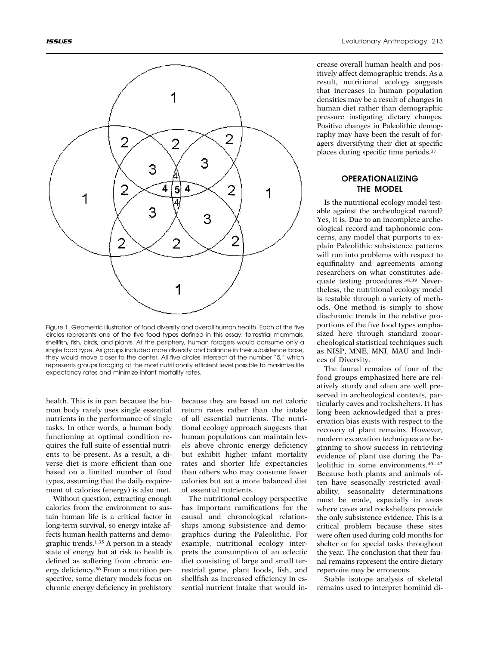

Figure 1. Geometric illustration of food diversity and overall human health. Each of the five circles represents one of the five food types defined in this essay: terrestrial mammals, shellfish, fish, birds, and plants. At the periphery, human foragers would consume only a single food type. As groups included more diversity and balance in their subsistence base, they would move closer to the center. All five circles intersect at the number "5," which represents groups foraging at the most nutritionally efficient level possible to maximize life expectancy rates and minimize infant mortality rates.

health. This is in part because the human body rarely uses single essential nutrients in the performance of single tasks. In other words, a human body functioning at optimal condition requires the full suite of essential nutrients to be present. As a result, a diverse diet is more efficient than one based on a limited number of food types, assuming that the daily requirement of calories (energy) is also met.

Without question, extracting enough calories from the environment to sustain human life is a critical factor in long-term survival, so energy intake affects human health patterns and demographic trends.1,35 A person in a steady state of energy but at risk to health is defined as suffering from chronic energy deficiency.36 From a nutrition perspective, some dietary models focus on chronic energy deficiency in prehistory because they are based on net caloric return rates rather than the intake of all essential nutrients. The nutritional ecology approach suggests that human populations can maintain levels above chronic energy deficiency but exhibit higher infant mortality rates and shorter life expectancies than others who may consume fewer calories but eat a more balanced diet of essential nutrients.

The nutritional ecology perspective has important ramifications for the causal and chronological relationships among subsistence and demographics during the Paleolithic. For example, nutritional ecology interprets the consumption of an eclectic diet consisting of large and small terrestrial game, plant foods, fish, and shellfish as increased efficiency in essential nutrient intake that would increase overall human health and positively affect demographic trends. As a result, nutritional ecology suggests that increases in human population densities may be a result of changes in human diet rather than demographic pressure instigating dietary changes. Positive changes in Paleolithic demography may have been the result of foragers diversifying their diet at specific places during specific time periods.37

## **OPERATIONALIZING THE MODEL**

Is the nutritional ecology model testable against the archeological record? Yes, it is. Due to an incomplete archeological record and taphonomic concerns, any model that purports to explain Paleolithic subsistence patterns will run into problems with respect to equifinality and agreements among researchers on what constitutes adequate testing procedures.38,39 Nevertheless, the nutritional ecology model is testable through a variety of methods. One method is simply to show diachronic trends in the relative proportions of the five food types emphasized here through standard zooarcheological statistical techniques such as NISP, MNE, MNI, MAU and Indices of Diversity.

The faunal remains of four of the food groups emphasized here are relatively sturdy and often are well preserved in archeological contexts, particularly caves and rockshelters. It has long been acknowledged that a preservation bias exists with respect to the recovery of plant remains. However, modern excavation techniques are beginning to show success in retrieving evidence of plant use during the Paleolithic in some environments.<sup>40-42</sup> Because both plants and animals often have seasonally restricted availability, seasonality determinations must be made, especially in areas where caves and rockshelters provide the only subsistence evidence. This is a critical problem because these sites were often used during cold months for shelter or for special tasks throughout the year. The conclusion that their faunal remains represent the entire dietary repertoire may be erroneous.

Stable isotope analysis of skeletal remains used to interpret hominid di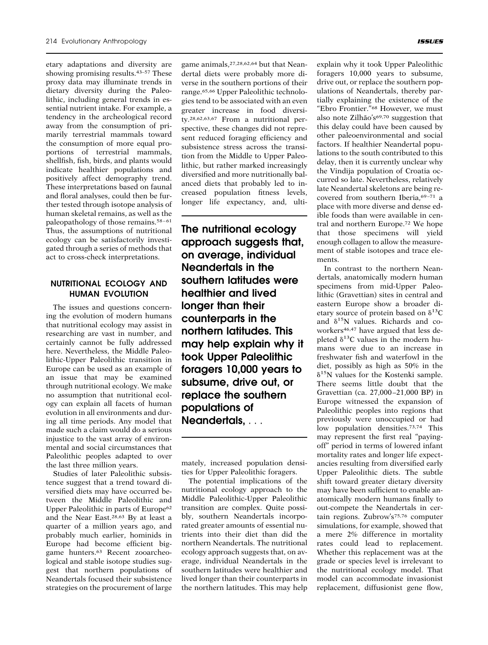etary adaptations and diversity are showing promising results.43–57 These proxy data may illuminate trends in dietary diversity during the Paleolithic, including general trends in essential nutrient intake. For example, a tendency in the archeological record away from the consumption of primarily terrestrial mammals toward the consumption of more equal proportions of terrestrial mammals, shellfish, fish, birds, and plants would indicate healthier populations and positively affect demography trend. These interpretations based on faunal and floral analyses, could then be further tested through isotope analysis of human skeletal remains, as well as the paleopathology of those remains.<sup>58-61</sup> Thus, the assumptions of nutritional ecology can be satisfactorily investigated through a series of methods that act to cross-check interpretations.

## **NUTRITIONAL ECOLOGY AND HUMAN EVOLUTION**

The issues and questions concerning the evolution of modern humans that nutritional ecology may assist in researching are vast in number, and certainly cannot be fully addressed here. Nevertheless, the Middle Paleolithic-Upper Paleolithic transition in Europe can be used as an example of an issue that may be examined through nutritional ecology. We make no assumption that nutritional ecology can explain all facets of human evolution in all environments and during all time periods. Any model that made such a claim would do a serious injustice to the vast array of environmental and social circumstances that Paleolithic peoples adapted to over the last three million years.

Studies of later Paleolithic subsistence suggest that a trend toward diversified diets may have occurred between the Middle Paleolithic and Upper Paleolithic in parts of Europe<sup>62</sup> and the Near East.28,63 By at least a quarter of a million years ago, and probably much earlier, hominids in Europe had become efficient biggame hunters.63 Recent zooarcheological and stable isotope studies suggest that northern populations of Neandertals focused their subsistence strategies on the procurement of large

game animals,27,28,62,64 but that Neandertal diets were probably more diverse in the southern portions of their range.65,66 Upper Paleolithic technologies tend to be associated with an even greater increase in food diversity.28,62,63,67 From a nutritional perspective, these changes did not represent reduced foraging efficiency and subsistence stress across the transition from the Middle to Upper Paleolithic, but rather marked increasingly diversified and more nutritionally balanced diets that probably led to increased population fitness levels, longer life expectancy, and, ulti-

**The nutritional ecology approach suggests that, on average, individual Neandertals in the southern latitudes were healthier and lived longer than their counterparts in the northern latitudes. This may help explain why it took Upper Paleolithic foragers 10,000 years to subsume, drive out, or replace the southern populations of Neandertals,** ...

mately, increased population densities for Upper Paleolithic foragers.

The potential implications of the nutritional ecology approach to the Middle Paleolithic-Upper Paleolithic transition are complex. Quite possibly, southern Neandertals incorporated greater amounts of essential nutrients into their diet than did the northern Neandertals. The nutritional ecology approach suggests that, on average, individual Neandertals in the southern latitudes were healthier and lived longer than their counterparts in the northern latitudes. This may help explain why it took Upper Paleolithic foragers 10,000 years to subsume, drive out, or replace the southern populations of Neandertals, thereby partially explaining the existence of the "Ebro Frontier."68 However, we must also note Zilhão's<sup>69,70</sup> suggestion that this delay could have been caused by other paleoenvironmental and social factors. If healthier Neandertal populations to the south contributed to this delay, then it is currently unclear why the Vindija population of Croatia occurred so late. Nevertheless, relatively late Neandertal skeletons are being recovered from southern Iberia, <sup>69-71</sup> a place with more diverse and dense edible foods than were available in central and northern Europe.72 We hope that those specimens will yield enough collagen to allow the measurement of stable isotopes and trace elements.

In contrast to the northern Neandertals, anatomically modern human specimens from mid-Upper Paleolithic (Gravettian) sites in central and eastern Europe show a broader dietary source of protein based on  $\delta^{13}C$ and  $\delta^{15}N$  values. Richards and coworkers<sup>46,47</sup> have argued that less depleted  $\delta^{13}$ C values in the modern humans were due to an increase in freshwater fish and waterfowl in the diet, possibly as high as 50% in the  $\delta^{15}$ N values for the Kostenki sample. There seems little doubt that the Gravettian (ca. 27,000 –21,000 BP) in Europe witnessed the expansion of Paleolithic peoples into regions that previously were unoccupied or had low population densities.73,74 This may represent the first real "payingoff" period in terms of lowered infant mortality rates and longer life expectancies resulting from diversified early Upper Paleolithic diets. The subtle shift toward greater dietary diversity may have been sufficient to enable anatomically modern humans finally to out-compete the Neandertals in certain regions. Zubrow's75,76 computer simulations, for example, showed that a mere 2% difference in mortality rates could lead to replacement. Whether this replacement was at the grade or species level is irrelevant to the nutritional ecology model. That model can accommodate invasionist replacement, diffusionist gene flow,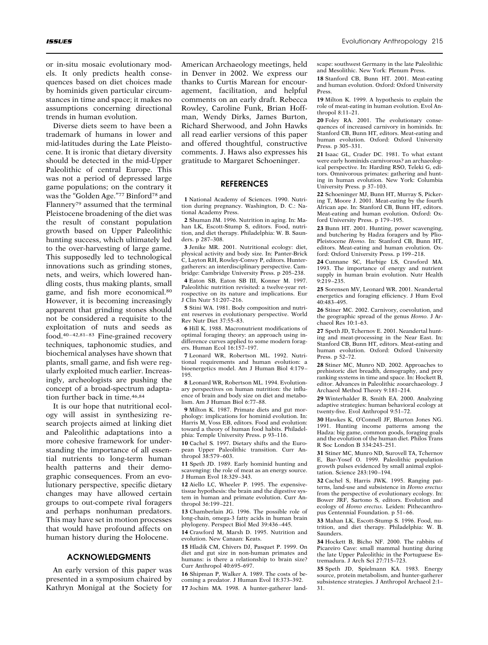or in-situ mosaic evolutionary models. It only predicts health consequences based on diet choices made by hominids given particular circumstances in time and space; it makes no assumptions concerning directional trends in human evolution.

Diverse diets seem to have been a trademark of humans in lower and mid-latitudes during the Late Pleistocene. It is ironic that dietary diversity should be detected in the mid-Upper Paleolithic of central Europe. This was not a period of depressed large game populations; on the contrary it was the "Golden Age."77 Binford78 and Flannery79 assumed that the terminal Pleistocene broadening of the diet was the result of constant population growth based on Upper Paleolithic hunting success, which ultimately led to the over-harvesting of large game. This supposedly led to technological innovations such as grinding stones, nets, and weirs, which lowered handling costs, thus making plants, small game, and fish more economical.80 However, it is becoming increasingly apparent that grinding stones should not be considered a requisite to the exploitation of nuts and seeds as food. $40 - 42,81 - 83$  Fine-grained recovery techniques, taphonomic studies, and biochemical analyses have shown that plants, small game, and fish were regularly exploited much earlier. Increasingly, archeologists are pushing the concept of a broad-spectrum adaptation further back in time.46,84

It is our hope that nutritional ecology will assist in synthesizing research projects aimed at linking diet and Paleolithic adaptations into a more cohesive framework for understanding the importance of all essential nutrients to long-term human health patterns and their demographic consequences. From an evolutionary perspective, specific dietary changes may have allowed certain groups to out-compete rival foragers and perhaps nonhuman predators. This may have set in motion processes that would have profound affects on human history during the Holocene.

### **ACKNOWLEDGMENTS**

An early version of this paper was presented in a symposium chaired by Kathryn Monigal at the Society for American Archaeology meetings, held in Denver in 2002. We express our thanks to Curtis Marean for encouragement, facilitation, and helpful comments on an early draft. Rebecca Rowley, Caroline Funk, Brian Hoffman, Wendy Dirks, James Burton, Richard Sherwood, and John Hawks all read earlier versions of this paper and offered thoughtful, constructive comments. J. Haws also expresses his gratitude to Margaret Schoeninger.

## **REFERENCES**

**1** National Academy of Sciences. 1990. Nutrition during pregnancy. Washington, D. C.: National Academy Press.

**2** Shuman JM. 1996. Nutrition in aging. In: Mahan LK, Escott-Stump S, editors. Food, nutrition, and diet therapy. Philadelphia: W. B. Saunders. p 287–308.

**3** Jenike MR. 2001. Nutritional ecology: diet, physical activity and body size. In: Panter-Brick C, Layton RH, Rowley-Conwy P, editors. Huntergatherers: an interdisciplinary perspective. Cambridge: Cambridge University Press. p 205–238.

**4** Eaton SB, Eaton SB III, Konner M. 1997. Paleolithic nutrition revisited: a twelve-year retrospective on its nature and implications. Eur J Clin Nutr 51:207–216.

**5** Stini WA. 1981. Body composition and nutrient reserves in evolutionary perspective. World Rev Nutr Diet 37:55–83.

**6** Hill K. 1988. Macronutrient modifications of optimal foraging theory: an approach using indifference curves applied to some modern foragers. Human Ecol 16:157–197.

**7** Leonard WR, Robertson ML. 1992. Nutritional requirements and human evolution: a bioenergetics model. Am J Human Biol 4:179 – 195.

**8** Leonard WR, Robertson ML. 1994. Evolutionary perspectives on human nutrition: the influence of brain and body size on diet and metabolism. Am J Human Biol 6:77–88.

**9** Milton K. 1987. Primate diets and gut morphology: implications for hominid evolution. In: Harris M, Voss EB, editors. Food and evolution: toward a theory of human food habits. Philadelphia: Temple University Press. p 93–116.

**10** Cachel S. 1997. Dietary shifts and the European Upper Paleolithic transition. Curr Anthropol 38:579 –603.

**11** Speth JD. 1989. Early hominid hunting and scavenging: the role of meat as an energy source. J Human Evol 18:329 –343.

**12** Aiello LC, Wheeler P. 1995. The expensivetissue hypothesis: the brain and the digestive system in human and primate evolution. Curr Anthropol 36:199 –221.

**13** Chamberlain JG. 1996. The possible role of long-chain, omega-3 fatty acids in human brain phylogeny. Perspect Biol Med 39:436 –445.

**14** Crawford M, Marsh D. 1995. Nutrition and evolution. New Canaan: Keats.

**15** Hladik CM, Chivers DJ, Pasquet P. 1999. On diet and gut size in non-human primates and humans: is there a relationship to brain size? Curr Anthropol 40:695–697.

**16** Shipman P, Walker A. 1989. The costs of becoming a predator. J Human Evol 18:373–392. **17** Jochim MA. 1998. A hunter-gatherer landscape: southwest Germany in the late Paleolithic and Mesolithic. New York: Plenum Press.

**18** Stanford CB, Bunn HT. 2001. Meat-eating and human evolution. Oxford: Oxford University Press.

**19** Milton K. 1999. A hypothesis to explain the role of meat-eating in human evolution. Evol Anthropol 8:11–21.

**20** Foley RA. 2001. The evolutionary consequences of increased carnivory in hominids. In: Stanford CB, Bunn HT, editors. Meat-eating and human evolution. Oxford: Oxford University Press. p 305–331.

**21** Isaac GL, Crader DC. 1981. To what extant were early hominids carnivorous? an archaeological perspective. In: Harding RSO, Teleki G, editors. Omnivorous primates: gathering and hunting in human evolution. New York: Columbia University Press. p 37–103.

**22** Schoeninger MJ, Bunn HT, Murray S, Pickering T, Moore J. 2001. Meat-eating by the fourth African ape. In: Stanford CB, Bunn HT, editors. Meat-eating and human evolution. Oxford: Oxford University Press. p 179 –195.

**23** Bunn HT. 2001. Hunting, power scavenging, and butchering by Hadza foragers and by Plio-Pleistocene *Homo.* In: Stanford CB, Bunn HT, editors. Meat-eating and human evolution. Oxford: Oxford University Press. p 199-218.

**24** Cunnane SC, Harbige LS, Crawford MA. 1993. The importance of energy and nutrient supply in human brain evolution. Nutr Health 9:219 –235.

**25** Sorensen MV, Leonard WR. 2001. Neandertal energetics and foraging efficiency. J Hum Evol 40:483–495.

**26** Stiner MC. 2002. Carnivory, coevolution, and the geographic spread of the genus *Homo.* J Archaeol Res 10:1–63.

**27** Speth JD, Tchernov E. 2001. Neandertal hunting and meat-processing in the Near East. In: Stanford CB, Bunn HT, editors. Meat-eating and human evolution. Oxford: Oxford University Press. p 52–72.

**28** Stiner MC, Munro ND. 2002. Approaches to prehistoric diet breadth, demography, and prey ranking systems in time and space. In: Hockett B, editor. Advances in Paleolithic zooarchaeology. J Archaeol Method Theory 9:181–214.

**29** Winterhalder B, Smith EA. 2000. Analyzing adaptive strategies: human behavioral ecology at twenty-five. Evol Anthropol 9:51–72.

**30** Hawkes K, O'Connell JF, Blurton Jones NG. 1991. Hunting income patterns among the Hadza: big game, common goods, foraging goals and the evolution of the human diet. Philos Trans R Soc London B 334:243–251.

**31** Stiner MC, Munro ND, Surovell TA, Tchernov E, Bar-Yosef O. 1999. Paleolithic population growth pulses evidenced by small animal exploitation. Science 283:190 –194.

**32** Cachel S, Harris JWK. 1995. Ranging patterns, land-use and subsistence in *Homo erectus* from the perspective of evolutionary ecology. In: Bower JRF, Sartono S, editors. Evolution and ecology of *Homo erectus.* Leiden: Pithecanthropus Centennial Foundation. p 51-66.

**33** Mahan LK, Escott-Stump S. 1996. Food, nutrition, and diet therapy. Philadelphia: W. B. Saunders.

**34** Hockett B, Bicho NF. 2000. The rabbits of Picareiro Cave: small mammal hunting during the late Upper Paleolithic in the Portuguese Estremadura. J Arch Sci 27:715–723.

**35** Speth JD, Spielmann KA. 1983. Energy source, protein metabolism, and hunter-gatherer subsistence strategies. J Anthropol Archaeol 2:1– 31.